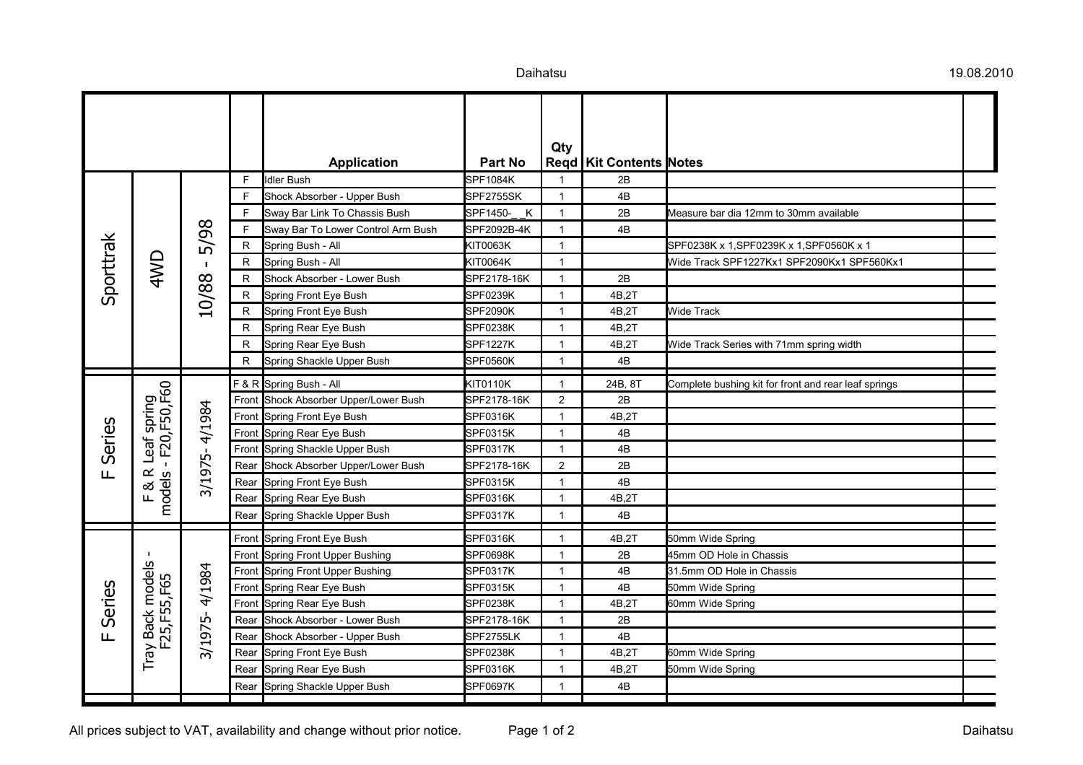|                        |                                   |               |              |                                    |                          | Qty            |                             |                                                      |  |
|------------------------|-----------------------------------|---------------|--------------|------------------------------------|--------------------------|----------------|-----------------------------|------------------------------------------------------|--|
|                        |                                   |               |              | <b>Application</b>                 | <b>Part No</b>           |                | Regd   Kit Contents   Notes |                                                      |  |
|                        |                                   |               | F            | Idler Bush                         | SPF1084K                 | 1              | 2B                          |                                                      |  |
|                        |                                   |               | F            | Shock Absorber - Upper Bush        | SPF2755SK                | $\mathbf{1}$   | 4B                          |                                                      |  |
|                        |                                   |               | F            | Sway Bar Link To Chassis Bush      | $\mathsf{K}$<br>SPF1450- | $\mathbf{1}$   | 2B                          | Measure bar dia 12mm to 30mm available               |  |
|                        |                                   | 5/98          | F            | Sway Bar To Lower Control Arm Bush | SPF2092B-4K              | $\mathbf{1}$   | 4B                          |                                                      |  |
|                        |                                   |               | $\mathsf{R}$ | Spring Bush - All                  | KIT0063K                 | $\mathbf{1}$   |                             | SPF0238K x 1, SPF0239K x 1, SPF0560K x 1             |  |
|                        | 4WD                               | $\mathbf I$   | R            | Spring Bush - All                  | KIT0064K                 | $\mathbf{1}$   |                             | Wide Track SPF1227Kx1 SPF2090Kx1 SPF560Kx1           |  |
| Sporttrak              |                                   |               | R            | Shock Absorber - Lower Bush        | SPF2178-16K              | $\mathbf{1}$   | 2B                          |                                                      |  |
|                        |                                   | 10/88         | R            | Spring Front Eye Bush              | SPF0239K                 | $\mathbf{1}$   | 4B,2T                       |                                                      |  |
|                        |                                   |               | R            | Spring Front Eye Bush              | <b>SPF2090K</b>          | $\mathbf{1}$   | 4B,2T                       | <b>Wide Track</b>                                    |  |
|                        |                                   |               | R            | Spring Rear Eye Bush               | SPF0238K                 | $\mathbf{1}$   | 4B,2T                       |                                                      |  |
|                        |                                   |               | R            | Spring Rear Eye Bush               | <b>SPF1227K</b>          | $\mathbf{1}$   | 4B,2T                       | Wide Track Series with 71mm spring width             |  |
|                        |                                   |               | R            | Spring Shackle Upper Bush          | SPF0560K                 | $\mathbf{1}$   | $4\mathsf{B}$               |                                                      |  |
|                        | leaf spring<br>- - F20, F50, F60  |               |              | F & R Spring Bush - All            | KIT0110K                 | $\mathbf{1}$   | 24B, 8T                     | Complete bushing kit for front and rear leaf springs |  |
|                        |                                   |               | Front        | Shock Absorber Upper/Lower Bush    | SPF2178-16K              | $\overline{2}$ | 2B                          |                                                      |  |
|                        |                                   |               | Front        | Spring Front Eye Bush              | SPF0316K                 | $\mathbf{1}$   | 4B,2T                       |                                                      |  |
| Series<br>Щ            |                                   | 3/1975-4/1984 | Front        | Spring Rear Eye Bush               | SPF0315K                 | $\mathbf{1}$   | 4B                          |                                                      |  |
|                        | Leaf                              |               | Front        | Spring Shackle Upper Bush          | SPF0317K                 | $\mathbf{1}$   | 4B                          |                                                      |  |
|                        | $\boldsymbol{\underline{\alpha}}$ |               | Rear         | Shock Absorber Upper/Lower Bush    | SPF2178-16K              | 2              | 2B                          |                                                      |  |
|                        |                                   |               | Rear         | Spring Front Eye Bush              | SPF0315K                 | $\mathbf{1}$   | 4B                          |                                                      |  |
|                        | F&R<br>models                     |               | Rear         | Spring Rear Eye Bush               | SPF0316K                 | $\mathbf{1}$   | 4B,2T                       |                                                      |  |
|                        |                                   |               | Rear         | Spring Shackle Upper Bush          | SPF0317K                 | $\mathbf{1}$   | 4B                          |                                                      |  |
|                        |                                   |               | Front        | Spring Front Eye Bush              | SPF0316K                 | $\mathbf{1}$   | 4B,2T                       | 50mm Wide Spring                                     |  |
| Series<br>$\mathbf{u}$ |                                   |               | Front        | Spring Front Upper Bushing         | SPF0698K                 | $\mathbf{1}$   | 2B                          | 45mm OD Hole in Chassis                              |  |
|                        | Tray Back models<br>F25, F55, F65 |               | Front        | Spring Front Upper Bushing         | SPF0317K                 | $\mathbf{1}$   | 4B                          | 31.5mm OD Hole in Chassis                            |  |
|                        |                                   | 3/1975-4/1984 | Front        | Spring Rear Eye Bush               | SPF0315K                 | $\mathbf{1}$   | 4B                          | 50mm Wide Spring                                     |  |
|                        |                                   |               | Front        | Spring Rear Eye Bush               | SPF0238K                 | $\mathbf{1}$   | 4B,2T                       | 60mm Wide Spring                                     |  |
|                        |                                   |               | Rear         | Shock Absorber - Lower Bush        | SPF2178-16K              | $\mathbf{1}$   | 2B                          |                                                      |  |
|                        |                                   |               | Rear         | Shock Absorber - Upper Bush        | SPF2755LK                | $\mathbf{1}$   | 4B                          |                                                      |  |
|                        |                                   |               | Rear         | Spring Front Eye Bush              | SPF0238K                 | $\mathbf{1}$   | 4B,2T                       | 60mm Wide Spring                                     |  |
|                        |                                   |               | Rear         | Spring Rear Eye Bush               | SPF0316K                 | $\mathbf{1}$   | 4B,2T                       | 50mm Wide Spring                                     |  |
|                        |                                   |               | Rear         | Spring Shackle Upper Bush          | <b>SPF0697K</b>          | $\mathbf{1}$   | 4B                          |                                                      |  |
|                        |                                   |               |              |                                    |                          |                |                             |                                                      |  |